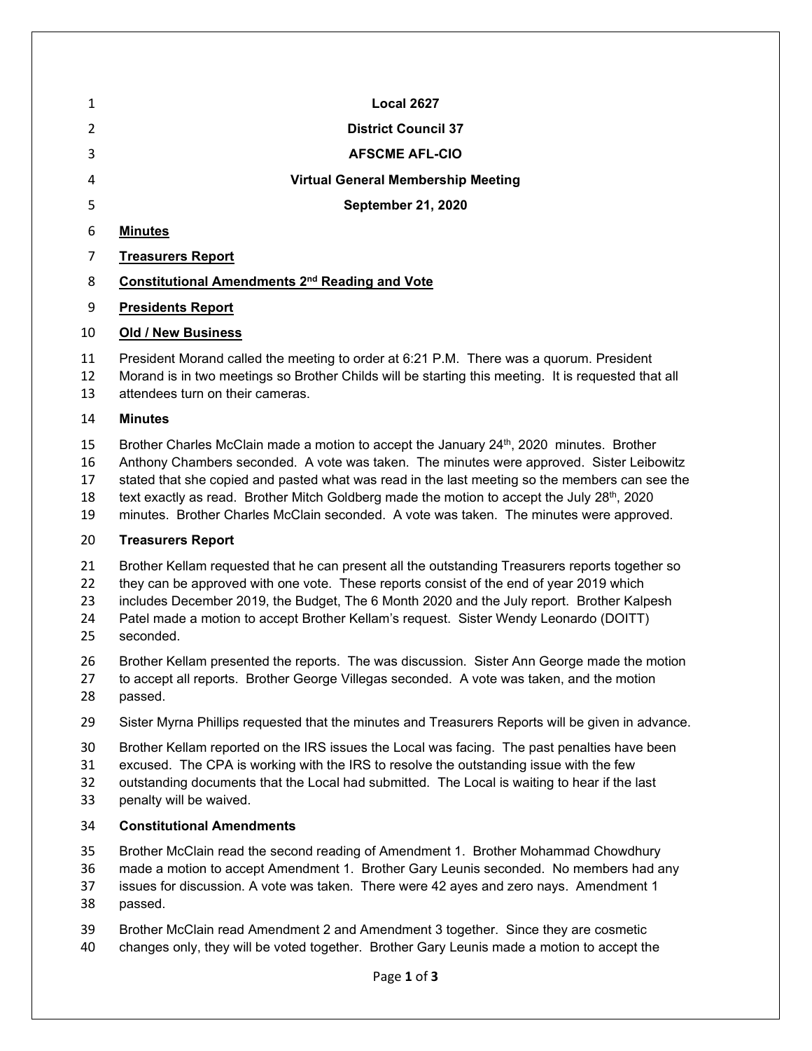| 1                          | <b>Local 2627</b>                                                                                                                                                                                                                                                                                                                                                                                                                                                                                        |
|----------------------------|----------------------------------------------------------------------------------------------------------------------------------------------------------------------------------------------------------------------------------------------------------------------------------------------------------------------------------------------------------------------------------------------------------------------------------------------------------------------------------------------------------|
| 2                          | <b>District Council 37</b>                                                                                                                                                                                                                                                                                                                                                                                                                                                                               |
| 3                          | <b>AFSCME AFL-CIO</b>                                                                                                                                                                                                                                                                                                                                                                                                                                                                                    |
| 4                          | <b>Virtual General Membership Meeting</b>                                                                                                                                                                                                                                                                                                                                                                                                                                                                |
| 5                          | <b>September 21, 2020</b>                                                                                                                                                                                                                                                                                                                                                                                                                                                                                |
| 6                          | <b>Minutes</b>                                                                                                                                                                                                                                                                                                                                                                                                                                                                                           |
| 7                          | <b>Treasurers Report</b>                                                                                                                                                                                                                                                                                                                                                                                                                                                                                 |
| 8                          | Constitutional Amendments 2 <sup>nd</sup> Reading and Vote                                                                                                                                                                                                                                                                                                                                                                                                                                               |
| 9                          | <b>Presidents Report</b>                                                                                                                                                                                                                                                                                                                                                                                                                                                                                 |
| 10                         | <b>Old / New Business</b>                                                                                                                                                                                                                                                                                                                                                                                                                                                                                |
| 11<br>12<br>13             | President Morand called the meeting to order at 6:21 P.M. There was a quorum. President<br>Morand is in two meetings so Brother Childs will be starting this meeting. It is requested that all<br>attendees turn on their cameras.                                                                                                                                                                                                                                                                       |
| 14                         | <b>Minutes</b>                                                                                                                                                                                                                                                                                                                                                                                                                                                                                           |
| 15<br>16<br>17<br>18<br>19 | Brother Charles McClain made a motion to accept the January 24 <sup>th</sup> , 2020 minutes. Brother<br>Anthony Chambers seconded. A vote was taken. The minutes were approved. Sister Leibowitz<br>stated that she copied and pasted what was read in the last meeting so the members can see the<br>text exactly as read. Brother Mitch Goldberg made the motion to accept the July 28 <sup>th</sup> , 2020<br>minutes. Brother Charles McClain seconded. A vote was taken. The minutes were approved. |
| 20                         | <b>Treasurers Report</b>                                                                                                                                                                                                                                                                                                                                                                                                                                                                                 |
| 21<br>22<br>23<br>24<br>25 | Brother Kellam requested that he can present all the outstanding Treasurers reports together so<br>they can be approved with one vote. These reports consist of the end of year 2019 which<br>includes December 2019, the Budget, The 6 Month 2020 and the July report. Brother Kalpesh<br>Patel made a motion to accept Brother Kellam's request. Sister Wendy Leonardo (DOITT)<br>seconded.                                                                                                            |
| 26                         | Brother Kellam presented the reports. The was discussion. Sister Ann George made the motion                                                                                                                                                                                                                                                                                                                                                                                                              |

ade the motion to accept all reports. Brother George Villegas seconded. A vote was taken, and the motion passed.

- Sister Myrna Phillips requested that the minutes and Treasurers Reports will be given in advance.
- Brother Kellam reported on the IRS issues the Local was facing. The past penalties have been
- excused. The CPA is working with the IRS to resolve the outstanding issue with the few
- outstanding documents that the Local had submitted. The Local is waiting to hear if the last
- penalty will be waived.

## **Constitutional Amendments**

- Brother McClain read the second reading of Amendment 1. Brother Mohammad Chowdhury
- made a motion to accept Amendment 1. Brother Gary Leunis seconded. No members had any
- issues for discussion. A vote was taken. There were 42 ayes and zero nays. Amendment 1
- passed.
- Brother McClain read Amendment 2 and Amendment 3 together. Since they are cosmetic
- changes only, they will be voted together. Brother Gary Leunis made a motion to accept the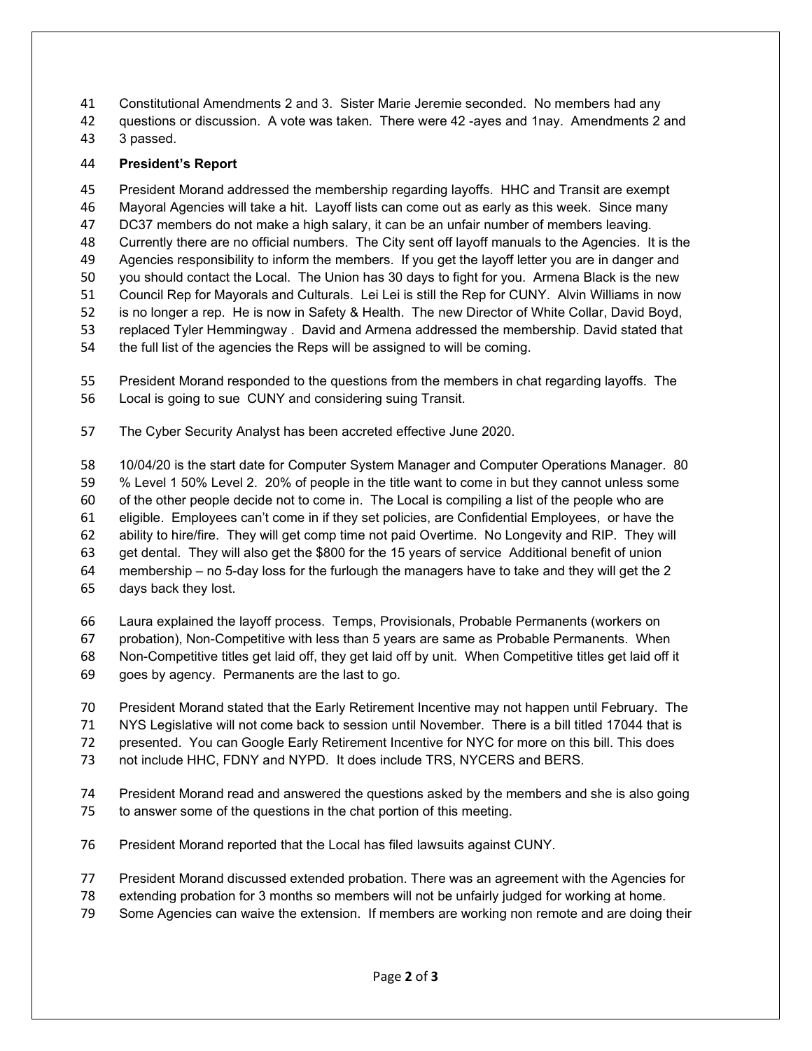Constitutional Amendments 2 and 3. Sister Marie Jeremie seconded. No members had any

questions or discussion. A vote was taken. There were 42 -ayes and 1nay. Amendments 2 and

3 passed.

## **President's Report**

 President Morand addressed the membership regarding layoffs. HHC and Transit are exempt Mayoral Agencies will take a hit. Layoff lists can come out as early as this week. Since many DC37 members do not make a high salary, it can be an unfair number of members leaving. Currently there are no official numbers. The City sent off layoff manuals to the Agencies. It is the Agencies responsibility to inform the members. If you get the layoff letter you are in danger and you should contact the Local. The Union has 30 days to fight for you. Armena Black is the new Council Rep for Mayorals and Culturals. Lei Lei is still the Rep for CUNY. Alvin Williams in now is no longer a rep. He is now in Safety & Health. The new Director of White Collar, David Boyd, replaced Tyler Hemmingway . David and Armena addressed the membership. David stated that the full list of the agencies the Reps will be assigned to will be coming.

 President Morand responded to the questions from the members in chat regarding layoffs. The Local is going to sue CUNY and considering suing Transit.

The Cyber Security Analyst has been accreted effective June 2020.

 10/04/20 is the start date for Computer System Manager and Computer Operations Manager. 80 % Level 1 50% Level 2. 20% of people in the title want to come in but they cannot unless some of the other people decide not to come in. The Local is compiling a list of the people who are eligible. Employees can't come in if they set policies, are Confidential Employees, or have the ability to hire/fire. They will get comp time not paid Overtime. No Longevity and RIP. They will get dental. They will also get the \$800 for the 15 years of service Additional benefit of union membership – no 5-day loss for the furlough the managers have to take and they will get the 2 days back they lost.

 Laura explained the layoff process. Temps, Provisionals, Probable Permanents (workers on probation), Non-Competitive with less than 5 years are same as Probable Permanents. When Non-Competitive titles get laid off, they get laid off by unit. When Competitive titles get laid off it goes by agency. Permanents are the last to go.

- 
- President Morand stated that the Early Retirement Incentive may not happen until February. The NYS Legislative will not come back to session until November. There is a bill titled 17044 that is
- presented. You can Google Early Retirement Incentive for NYC for more on this bill. This does
- not include HHC, FDNY and NYPD. It does include TRS, NYCERS and BERS.
- President Morand read and answered the questions asked by the members and she is also going to answer some of the questions in the chat portion of this meeting.
- President Morand reported that the Local has filed lawsuits against CUNY.
- President Morand discussed extended probation. There was an agreement with the Agencies for
- extending probation for 3 months so members will not be unfairly judged for working at home.
- Some Agencies can waive the extension. If members are working non remote and are doing their